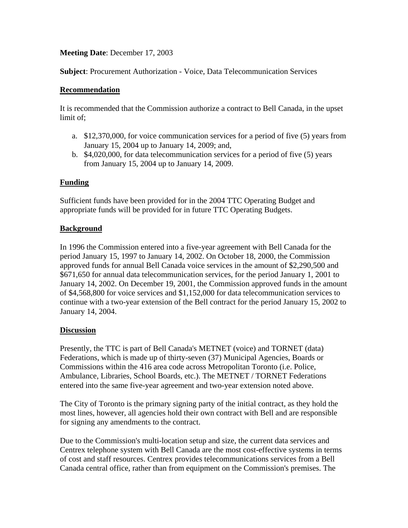# **Meeting Date**: December 17, 2003

**Subject**: Procurement Authorization - Voice, Data Telecommunication Services

### **Recommendation**

It is recommended that the Commission authorize a contract to Bell Canada, in the upset limit of;

- a. \$12,370,000, for voice communication services for a period of five (5) years from January 15, 2004 up to January 14, 2009; and,
- b. \$4,020,000, for data telecommunication services for a period of five (5) years from January 15, 2004 up to January 14, 2009.

## **Funding**

Sufficient funds have been provided for in the 2004 TTC Operating Budget and appropriate funds will be provided for in future TTC Operating Budgets.

### **Background**

In 1996 the Commission entered into a five-year agreement with Bell Canada for the period January 15, 1997 to January 14, 2002. On October 18, 2000, the Commission approved funds for annual Bell Canada voice services in the amount of \$2,290,500 and \$671,650 for annual data telecommunication services, for the period January 1, 2001 to January 14, 2002. On December 19, 2001, the Commission approved funds in the amount of \$4,568,800 for voice services and \$1,152,000 for data telecommunication services to continue with a two-year extension of the Bell contract for the period January 15, 2002 to January 14, 2004.

### **Discussion**

Presently, the TTC is part of Bell Canada's METNET (voice) and TORNET (data) Federations, which is made up of thirty-seven (37) Municipal Agencies, Boards or Commissions within the 416 area code across Metropolitan Toronto (i.e. Police, Ambulance, Libraries, School Boards, etc.). The METNET / TORNET Federations entered into the same five-year agreement and two-year extension noted above.

The City of Toronto is the primary signing party of the initial contract, as they hold the most lines, however, all agencies hold their own contract with Bell and are responsible for signing any amendments to the contract.

Due to the Commission's multi-location setup and size, the current data services and Centrex telephone system with Bell Canada are the most cost-effective systems in terms of cost and staff resources. Centrex provides telecommunications services from a Bell Canada central office, rather than from equipment on the Commission's premises. The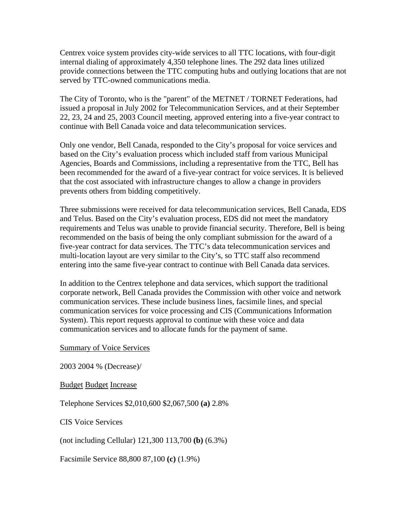Centrex voice system provides city-wide services to all TTC locations, with four-digit internal dialing of approximately 4,350 telephone lines. The 292 data lines utilized provide connections between the TTC computing hubs and outlying locations that are not served by TTC-owned communications media.

The City of Toronto, who is the "parent" of the METNET / TORNET Federations, had issued a proposal in July 2002 for Telecommunication Services, and at their September 22, 23, 24 and 25, 2003 Council meeting, approved entering into a five-year contract to continue with Bell Canada voice and data telecommunication services.

Only one vendor, Bell Canada, responded to the City's proposal for voice services and based on the City's evaluation process which included staff from various Municipal Agencies, Boards and Commissions, including a representative from the TTC, Bell has been recommended for the award of a five-year contract for voice services. It is believed that the cost associated with infrastructure changes to allow a change in providers prevents others from bidding competitively.

Three submissions were received for data telecommunication services, Bell Canada, EDS and Telus. Based on the City's evaluation process, EDS did not meet the mandatory requirements and Telus was unable to provide financial security. Therefore, Bell is being recommended on the basis of being the only compliant submission for the award of a five-year contract for data services. The TTC's data telecommunication services and multi-location layout are very similar to the City's, so TTC staff also recommend entering into the same five-year contract to continue with Bell Canada data services.

In addition to the Centrex telephone and data services, which support the traditional corporate network, Bell Canada provides the Commission with other voice and network communication services. These include business lines, facsimile lines, and special communication services for voice processing and CIS (Communications Information System). This report requests approval to continue with these voice and data communication services and to allocate funds for the payment of same.

### Summary of Voice Services

2003 2004 % (Decrease)/

Budget Budget Increase

Telephone Services \$2,010,600 \$2,067,500 **(a)** 2.8%

CIS Voice Services

(not including Cellular) 121,300 113,700 **(b)** (6.3%)

Facsimile Service 88,800 87,100 **(c)** (1.9%)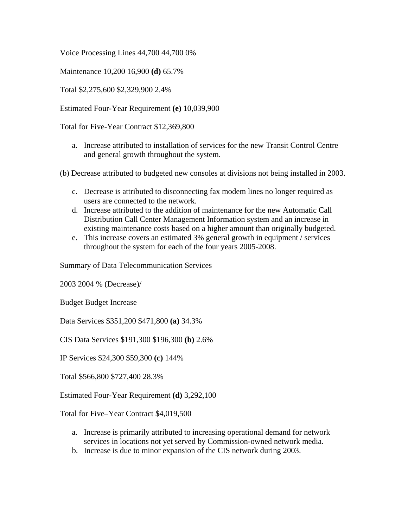Voice Processing Lines 44,700 44,700 0%

Maintenance 10,200 16,900 **(d)** 65.7%

Total \$2,275,600 \$2,329,900 2.4%

Estimated Four-Year Requirement **(e)** 10,039,900

Total for Five-Year Contract \$12,369,800

- a. Increase attributed to installation of services for the new Transit Control Centre and general growth throughout the system.
- (b) Decrease attributed to budgeted new consoles at divisions not being installed in 2003.
	- c. Decrease is attributed to disconnecting fax modem lines no longer required as users are connected to the network.
	- d. Increase attributed to the addition of maintenance for the new Automatic Call Distribution Call Center Management Information system and an increase in existing maintenance costs based on a higher amount than originally budgeted.
	- e. This increase covers an estimated 3% general growth in equipment / services throughout the system for each of the four years 2005-2008.

Summary of Data Telecommunication Services

2003 2004 % (Decrease)/

Budget Budget Increase

Data Services \$351,200 \$471,800 **(a)** 34.3%

CIS Data Services \$191,300 \$196,300 **(b)** 2.6%

IP Services \$24,300 \$59,300 **(c)** 144%

Total \$566,800 \$727,400 28.3%

Estimated Four-Year Requirement **(d)** 3,292,100

Total for Five–Year Contract \$4,019,500

- a. Increase is primarily attributed to increasing operational demand for network services in locations not yet served by Commission-owned network media.
- b. Increase is due to minor expansion of the CIS network during 2003.